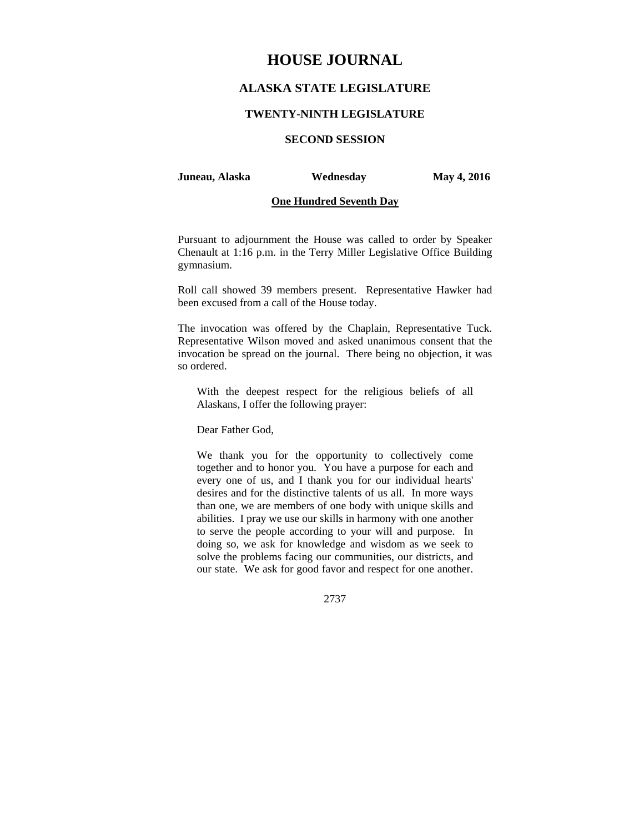# **HOUSE JOURNAL**

# **ALASKA STATE LEGISLATURE**

#### **TWENTY-NINTH LEGISLATURE**

# **SECOND SESSION**

#### **Juneau, Alaska Wednesday May 4, 2016**

#### **One Hundred Seventh Day**

Pursuant to adjournment the House was called to order by Speaker Chenault at 1:16 p.m. in the Terry Miller Legislative Office Building gymnasium.

Roll call showed 39 members present. Representative Hawker had been excused from a call of the House today.

The invocation was offered by the Chaplain, Representative Tuck. Representative Wilson moved and asked unanimous consent that the invocation be spread on the journal. There being no objection, it was so ordered.

With the deepest respect for the religious beliefs of all Alaskans, I offer the following prayer:

Dear Father God,

We thank you for the opportunity to collectively come together and to honor you. You have a purpose for each and every one of us, and I thank you for our individual hearts' desires and for the distinctive talents of us all. In more ways than one, we are members of one body with unique skills and abilities. I pray we use our skills in harmony with one another to serve the people according to your will and purpose. In doing so, we ask for knowledge and wisdom as we seek to solve the problems facing our communities, our districts, and our state. We ask for good favor and respect for one another.

2737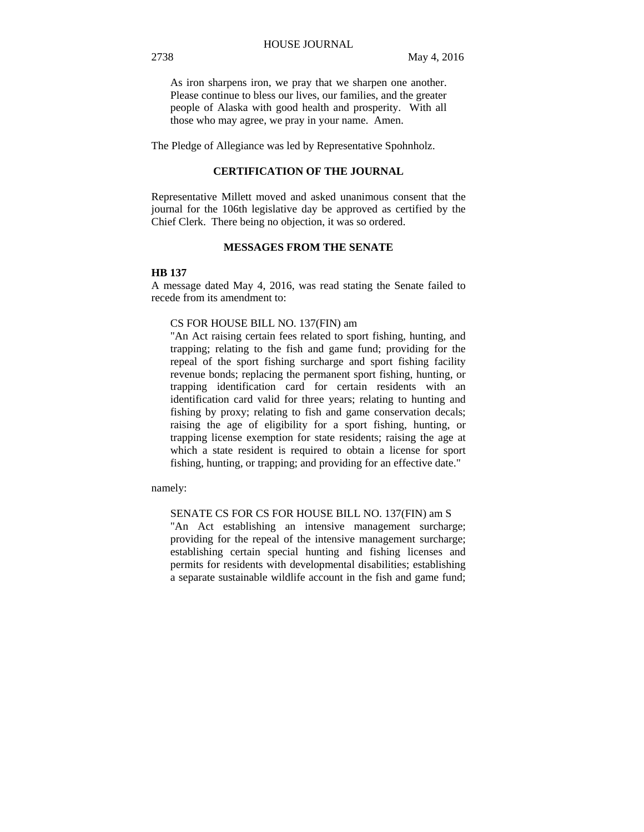As iron sharpens iron, we pray that we sharpen one another. Please continue to bless our lives, our families, and the greater people of Alaska with good health and prosperity. With all those who may agree, we pray in your name. Amen.

The Pledge of Allegiance was led by Representative Spohnholz.

### **CERTIFICATION OF THE JOURNAL**

Representative Millett moved and asked unanimous consent that the journal for the 106th legislative day be approved as certified by the Chief Clerk. There being no objection, it was so ordered.

#### **MESSAGES FROM THE SENATE**

#### **HB 137**

A message dated May 4, 2016, was read stating the Senate failed to recede from its amendment to:

### CS FOR HOUSE BILL NO. 137(FIN) am

"An Act raising certain fees related to sport fishing, hunting, and trapping; relating to the fish and game fund; providing for the repeal of the sport fishing surcharge and sport fishing facility revenue bonds; replacing the permanent sport fishing, hunting, or trapping identification card for certain residents with an identification card valid for three years; relating to hunting and fishing by proxy; relating to fish and game conservation decals; raising the age of eligibility for a sport fishing, hunting, or trapping license exemption for state residents; raising the age at which a state resident is required to obtain a license for sport fishing, hunting, or trapping; and providing for an effective date."

namely:

# SENATE CS FOR CS FOR HOUSE BILL NO. 137(FIN) am S

"An Act establishing an intensive management surcharge; providing for the repeal of the intensive management surcharge; establishing certain special hunting and fishing licenses and permits for residents with developmental disabilities; establishing a separate sustainable wildlife account in the fish and game fund;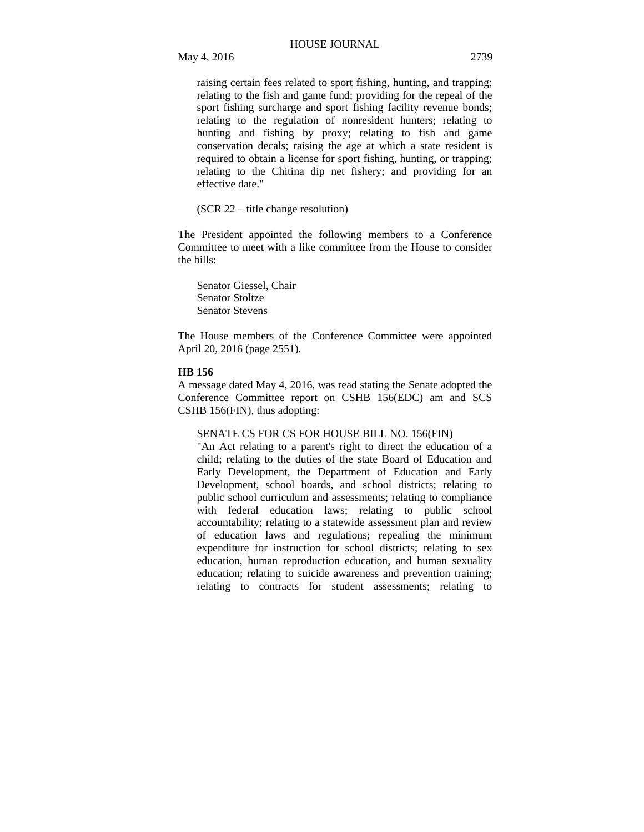raising certain fees related to sport fishing, hunting, and trapping; relating to the fish and game fund; providing for the repeal of the sport fishing surcharge and sport fishing facility revenue bonds; relating to the regulation of nonresident hunters; relating to hunting and fishing by proxy; relating to fish and game conservation decals; raising the age at which a state resident is required to obtain a license for sport fishing, hunting, or trapping; relating to the Chitina dip net fishery; and providing for an effective date."

(SCR 22 – title change resolution)

The President appointed the following members to a Conference Committee to meet with a like committee from the House to consider the bills:

 Senator Giessel, Chair Senator Stoltze Senator Stevens

The House members of the Conference Committee were appointed April 20, 2016 (page 2551).

#### **HB 156**

A message dated May 4, 2016, was read stating the Senate adopted the Conference Committee report on CSHB 156(EDC) am and SCS CSHB 156(FIN), thus adopting:

# SENATE CS FOR CS FOR HOUSE BILL NO. 156(FIN)

"An Act relating to a parent's right to direct the education of a child; relating to the duties of the state Board of Education and Early Development, the Department of Education and Early Development, school boards, and school districts; relating to public school curriculum and assessments; relating to compliance with federal education laws; relating to public school accountability; relating to a statewide assessment plan and review of education laws and regulations; repealing the minimum expenditure for instruction for school districts; relating to sex education, human reproduction education, and human sexuality education; relating to suicide awareness and prevention training; relating to contracts for student assessments; relating to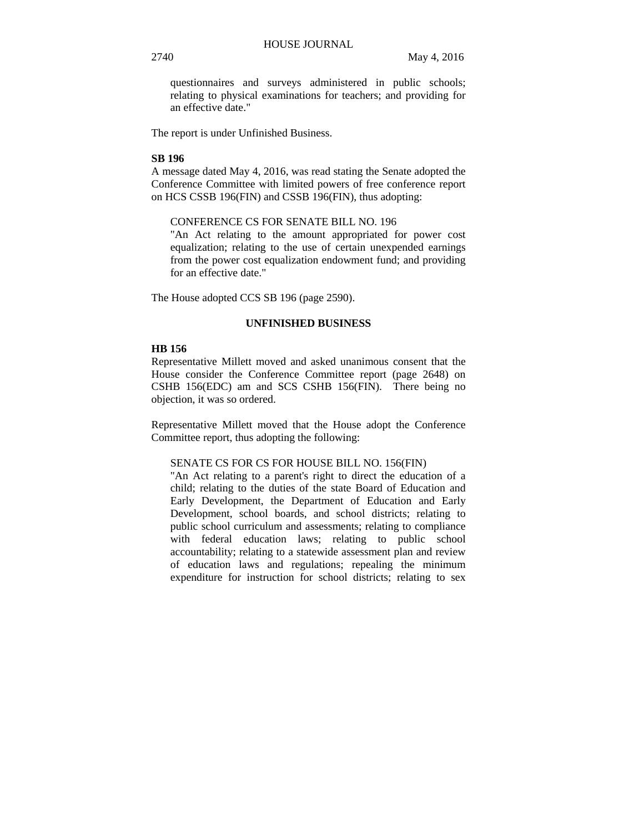questionnaires and surveys administered in public schools; relating to physical examinations for teachers; and providing for an effective date."

The report is under Unfinished Business.

#### **SB 196**

A message dated May 4, 2016, was read stating the Senate adopted the Conference Committee with limited powers of free conference report on HCS CSSB 196(FIN) and CSSB 196(FIN), thus adopting:

#### CONFERENCE CS FOR SENATE BILL NO. 196

"An Act relating to the amount appropriated for power cost equalization; relating to the use of certain unexpended earnings from the power cost equalization endowment fund; and providing for an effective date."

The House adopted CCS SB 196 (page 2590).

### **UNFINISHED BUSINESS**

### **HB 156**

Representative Millett moved and asked unanimous consent that the House consider the Conference Committee report (page 2648) on CSHB 156(EDC) am and SCS CSHB 156(FIN). There being no objection, it was so ordered.

Representative Millett moved that the House adopt the Conference Committee report, thus adopting the following:

#### SENATE CS FOR CS FOR HOUSE BILL NO. 156(FIN)

"An Act relating to a parent's right to direct the education of a child; relating to the duties of the state Board of Education and Early Development, the Department of Education and Early Development, school boards, and school districts; relating to public school curriculum and assessments; relating to compliance with federal education laws; relating to public school accountability; relating to a statewide assessment plan and review of education laws and regulations; repealing the minimum expenditure for instruction for school districts; relating to sex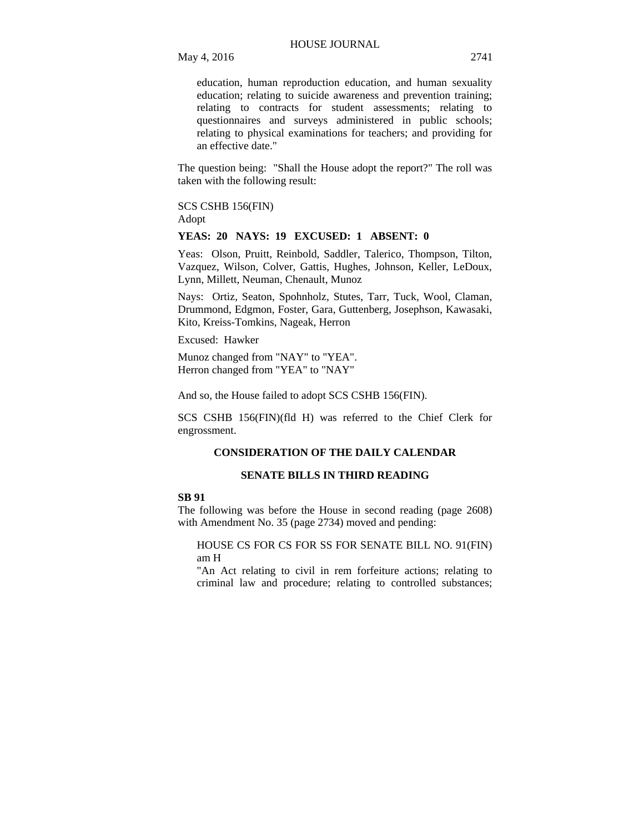May 4, 2016 2741

education, human reproduction education, and human sexuality education; relating to suicide awareness and prevention training; relating to contracts for student assessments; relating to questionnaires and surveys administered in public schools; relating to physical examinations for teachers; and providing for an effective date."

The question being: "Shall the House adopt the report?" The roll was taken with the following result:

# SCS CSHB 156(FIN)

Adopt

# **YEAS: 20 NAYS: 19 EXCUSED: 1 ABSENT: 0**

Yeas: Olson, Pruitt, Reinbold, Saddler, Talerico, Thompson, Tilton, Vazquez, Wilson, Colver, Gattis, Hughes, Johnson, Keller, LeDoux, Lynn, Millett, Neuman, Chenault, Munoz

Nays: Ortiz, Seaton, Spohnholz, Stutes, Tarr, Tuck, Wool, Claman, Drummond, Edgmon, Foster, Gara, Guttenberg, Josephson, Kawasaki, Kito, Kreiss-Tomkins, Nageak, Herron

Excused: Hawker

Munoz changed from "NAY" to "YEA". Herron changed from "YEA" to "NAY"

And so, the House failed to adopt SCS CSHB 156(FIN).

SCS CSHB 156(FIN)(fld H) was referred to the Chief Clerk for engrossment.

### **CONSIDERATION OF THE DAILY CALENDAR**

# **SENATE BILLS IN THIRD READING**

# **SB 91**

The following was before the House in second reading (page 2608) with Amendment No. 35 (page 2734) moved and pending:

## HOUSE CS FOR CS FOR SS FOR SENATE BILL NO. 91(FIN) am H

"An Act relating to civil in rem forfeiture actions; relating to criminal law and procedure; relating to controlled substances;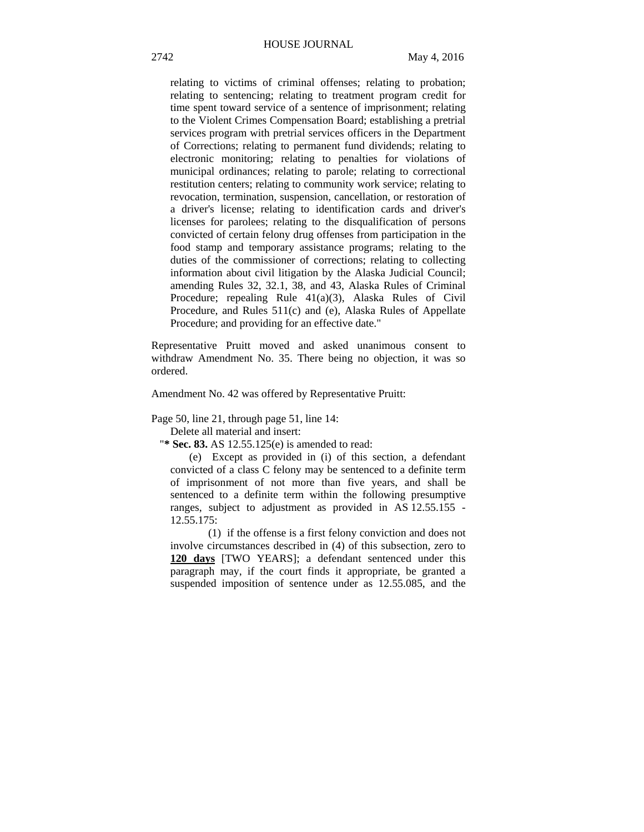relating to victims of criminal offenses; relating to probation; relating to sentencing; relating to treatment program credit for time spent toward service of a sentence of imprisonment; relating to the Violent Crimes Compensation Board; establishing a pretrial services program with pretrial services officers in the Department of Corrections; relating to permanent fund dividends; relating to electronic monitoring; relating to penalties for violations of municipal ordinances; relating to parole; relating to correctional restitution centers; relating to community work service; relating to revocation, termination, suspension, cancellation, or restoration of a driver's license; relating to identification cards and driver's licenses for parolees; relating to the disqualification of persons convicted of certain felony drug offenses from participation in the food stamp and temporary assistance programs; relating to the duties of the commissioner of corrections; relating to collecting information about civil litigation by the Alaska Judicial Council; amending Rules 32, 32.1, 38, and 43, Alaska Rules of Criminal Procedure; repealing Rule 41(a)(3), Alaska Rules of Civil Procedure, and Rules 511(c) and (e), Alaska Rules of Appellate Procedure; and providing for an effective date."

Representative Pruitt moved and asked unanimous consent to withdraw Amendment No. 35. There being no objection, it was so ordered.

Amendment No. 42 was offered by Representative Pruitt:

Page 50, line 21, through page 51, line 14:

Delete all material and insert:

"**\* Sec. 83.** AS 12.55.125(e) is amended to read:

(e) Except as provided in (i) of this section, a defendant convicted of a class C felony may be sentenced to a definite term of imprisonment of not more than five years, and shall be sentenced to a definite term within the following presumptive ranges, subject to adjustment as provided in AS 12.55.155 - 12.55.175:

(1) if the offense is a first felony conviction and does not involve circumstances described in (4) of this subsection, zero to **120 days** [TWO YEARS]; a defendant sentenced under this paragraph may, if the court finds it appropriate, be granted a suspended imposition of sentence under as 12.55.085, and the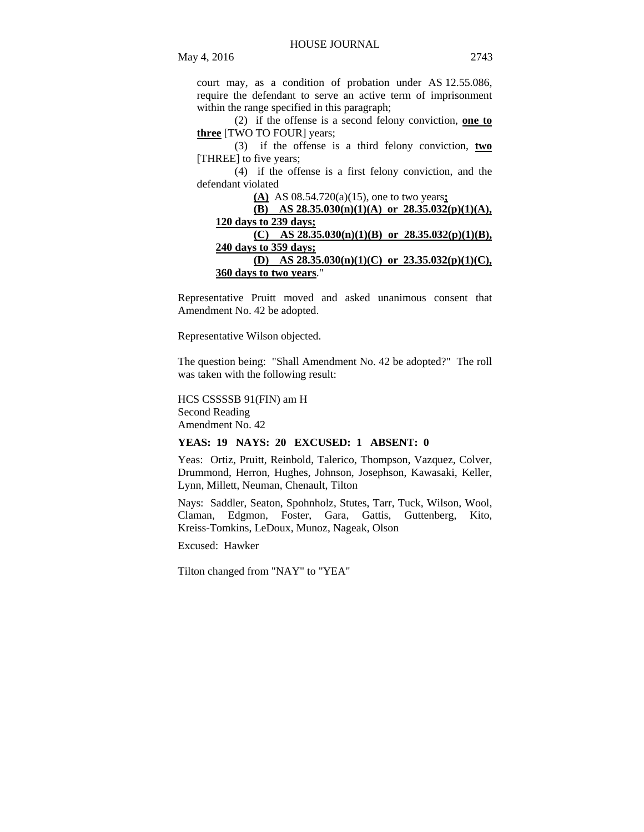May 4, 2016 2743

court may, as a condition of probation under AS 12.55.086, require the defendant to serve an active term of imprisonment within the range specified in this paragraph;

(2) if the offense is a second felony conviction, **one to three** [TWO TO FOUR] years;

(3) if the offense is a third felony conviction, **two** [THREE] to five years;

(4) if the offense is a first felony conviction, and the defendant violated

**(A)** AS 08.54.720(a)(15), one to two years**;**

|                         | (B) AS 28.35.030(n)(1)(A) or 28.35.032(p)(1)(A),      |  |
|-------------------------|-------------------------------------------------------|--|
| 120 days to 239 days;   |                                                       |  |
|                         | (C) AS $28.35.030(n)(1)(B)$ or $28.35.032(p)(1)(B)$ , |  |
| 240 days to 359 days;   |                                                       |  |
|                         | (D) AS 28.35.030(n)(1)(C) or 23.35.032(p)(1)(C),      |  |
| 360 days to two years." |                                                       |  |

Representative Pruitt moved and asked unanimous consent that Amendment No. 42 be adopted.

Representative Wilson objected.

The question being: "Shall Amendment No. 42 be adopted?" The roll was taken with the following result:

HCS CSSSSB 91(FIN) am H Second Reading Amendment No. 42

### **YEAS: 19 NAYS: 20 EXCUSED: 1 ABSENT: 0**

Yeas: Ortiz, Pruitt, Reinbold, Talerico, Thompson, Vazquez, Colver, Drummond, Herron, Hughes, Johnson, Josephson, Kawasaki, Keller, Lynn, Millett, Neuman, Chenault, Tilton

Nays: Saddler, Seaton, Spohnholz, Stutes, Tarr, Tuck, Wilson, Wool, Claman, Edgmon, Foster, Gara, Gattis, Guttenberg, Kito, Kreiss-Tomkins, LeDoux, Munoz, Nageak, Olson

Excused: Hawker

Tilton changed from "NAY" to "YEA"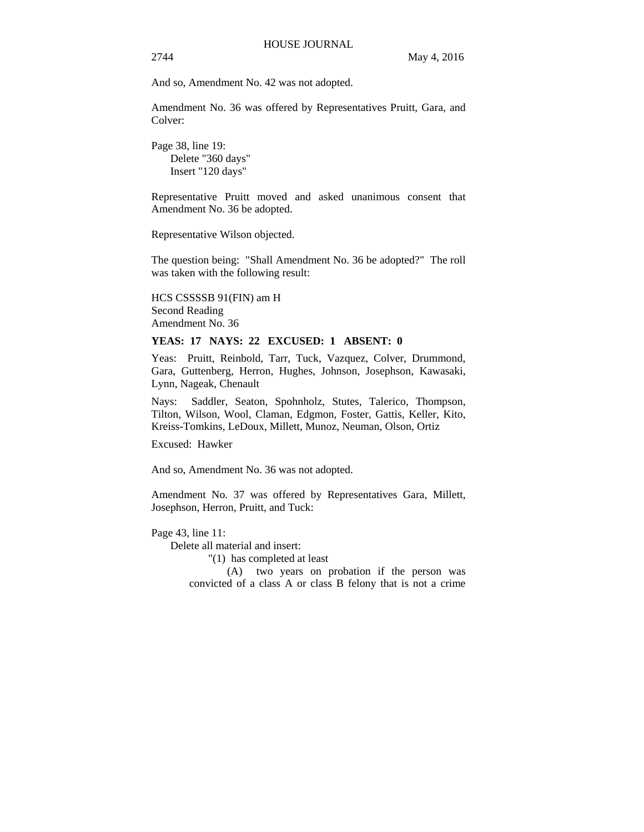And so, Amendment No. 42 was not adopted.

Amendment No. 36 was offered by Representatives Pruitt, Gara, and Colver:

Page 38, line 19: Delete "360 days" Insert "120 days"

Representative Pruitt moved and asked unanimous consent that Amendment No. 36 be adopted.

Representative Wilson objected.

The question being: "Shall Amendment No. 36 be adopted?" The roll was taken with the following result:

HCS CSSSSB 91(FIN) am H Second Reading Amendment No. 36

#### **YEAS: 17 NAYS: 22 EXCUSED: 1 ABSENT: 0**

Yeas: Pruitt, Reinbold, Tarr, Tuck, Vazquez, Colver, Drummond, Gara, Guttenberg, Herron, Hughes, Johnson, Josephson, Kawasaki, Lynn, Nageak, Chenault

Nays: Saddler, Seaton, Spohnholz, Stutes, Talerico, Thompson, Tilton, Wilson, Wool, Claman, Edgmon, Foster, Gattis, Keller, Kito, Kreiss-Tomkins, LeDoux, Millett, Munoz, Neuman, Olson, Ortiz

Excused: Hawker

And so, Amendment No. 36 was not adopted.

Amendment No. 37 was offered by Representatives Gara, Millett, Josephson, Herron, Pruitt, and Tuck:

Page 43, line 11:

Delete all material and insert:

"(1) has completed at least

(A) two years on probation if the person was convicted of a class A or class B felony that is not a crime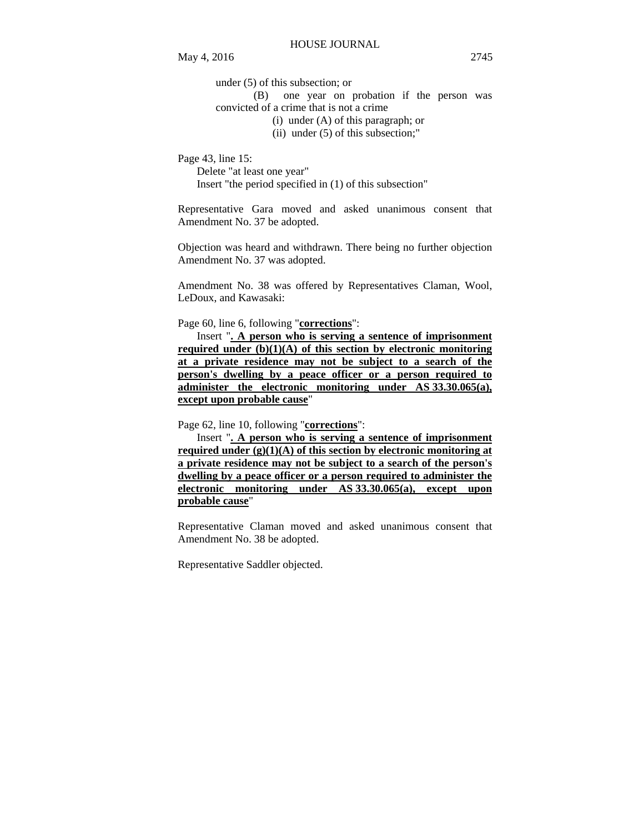under (5) of this subsection; or

(B) one year on probation if the person was convicted of a crime that is not a crime

(i) under (A) of this paragraph; or

(ii) under (5) of this subsection;"

Page 43, line 15:

Delete "at least one year" Insert "the period specified in (1) of this subsection"

Representative Gara moved and asked unanimous consent that Amendment No. 37 be adopted.

Objection was heard and withdrawn. There being no further objection Amendment No. 37 was adopted.

Amendment No. 38 was offered by Representatives Claman, Wool, LeDoux, and Kawasaki:

Page 60, line 6, following "**corrections**":

Insert "**. A person who is serving a sentence of imprisonment required under (b)(1)(A) of this section by electronic monitoring at a private residence may not be subject to a search of the person's dwelling by a peace officer or a person required to administer the electronic monitoring under AS 33.30.065(a), except upon probable cause**"

Page 62, line 10, following "**corrections**":

Insert "**. A person who is serving a sentence of imprisonment required under (g)(1)(A) of this section by electronic monitoring at a private residence may not be subject to a search of the person's dwelling by a peace officer or a person required to administer the electronic monitoring under AS 33.30.065(a), except upon probable cause**"

Representative Claman moved and asked unanimous consent that Amendment No. 38 be adopted.

Representative Saddler objected.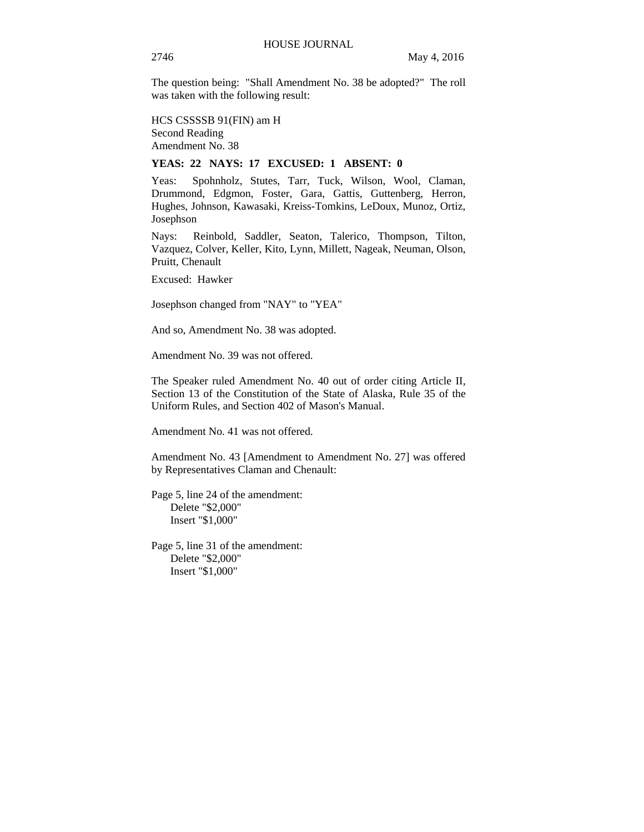The question being: "Shall Amendment No. 38 be adopted?" The roll was taken with the following result:

HCS CSSSSB 91(FIN) am H Second Reading Amendment No. 38

#### **YEAS: 22 NAYS: 17 EXCUSED: 1 ABSENT: 0**

Yeas: Spohnholz, Stutes, Tarr, Tuck, Wilson, Wool, Claman, Drummond, Edgmon, Foster, Gara, Gattis, Guttenberg, Herron, Hughes, Johnson, Kawasaki, Kreiss-Tomkins, LeDoux, Munoz, Ortiz, Josephson

Nays: Reinbold, Saddler, Seaton, Talerico, Thompson, Tilton, Vazquez, Colver, Keller, Kito, Lynn, Millett, Nageak, Neuman, Olson, Pruitt, Chenault

Excused: Hawker

Josephson changed from "NAY" to "YEA"

And so, Amendment No. 38 was adopted.

Amendment No. 39 was not offered.

The Speaker ruled Amendment No. 40 out of order citing Article II, Section 13 of the Constitution of the State of Alaska, Rule 35 of the Uniform Rules, and Section 402 of Mason's Manual.

Amendment No. 41 was not offered.

Amendment No. 43 [Amendment to Amendment No. 27] was offered by Representatives Claman and Chenault:

Page 5, line 24 of the amendment: Delete "\$2,000" Insert "\$1,000"

Page 5, line 31 of the amendment: Delete "\$2,000" Insert "\$1,000"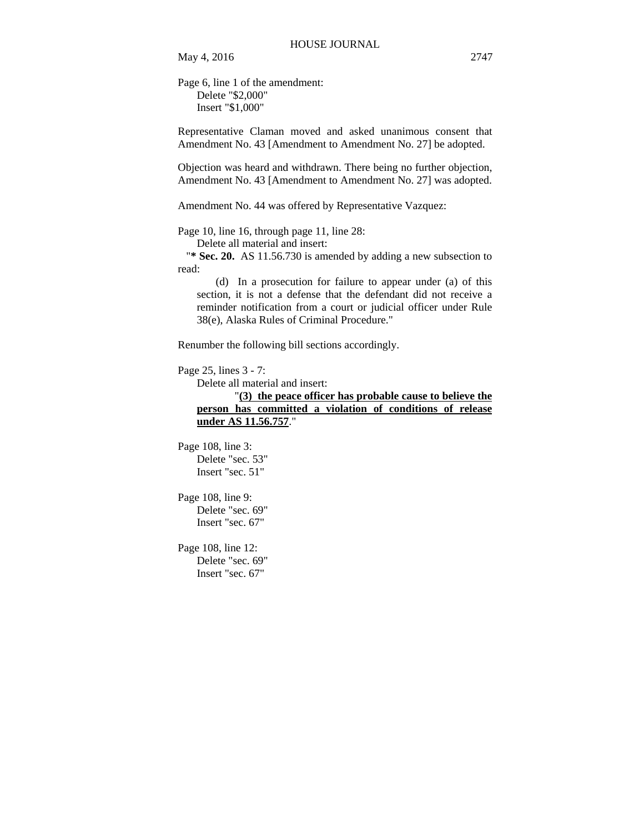May 4, 2016 2747

Page 6, line 1 of the amendment: Delete "\$2,000" Insert "\$1,000"

Representative Claman moved and asked unanimous consent that Amendment No. 43 [Amendment to Amendment No. 27] be adopted.

Objection was heard and withdrawn. There being no further objection, Amendment No. 43 [Amendment to Amendment No. 27] was adopted.

Amendment No. 44 was offered by Representative Vazquez:

Page 10, line 16, through page 11, line 28:

Delete all material and insert:

"**\* Sec. 20.** AS 11.56.730 is amended by adding a new subsection to read:

(d) In a prosecution for failure to appear under (a) of this section, it is not a defense that the defendant did not receive a reminder notification from a court or judicial officer under Rule 38(e), Alaska Rules of Criminal Procedure."

Renumber the following bill sections accordingly.

Page 25, lines 3 - 7:

Delete all material and insert:

"**(3) the peace officer has probable cause to believe the person has committed a violation of conditions of release under AS 11.56.757**."

Page 108, line 3: Delete "sec. 53" Insert "sec. 51"

Page 108, line 9: Delete "sec. 69" Insert "sec. 67"

Page 108, line 12: Delete "sec. 69" Insert "sec. 67"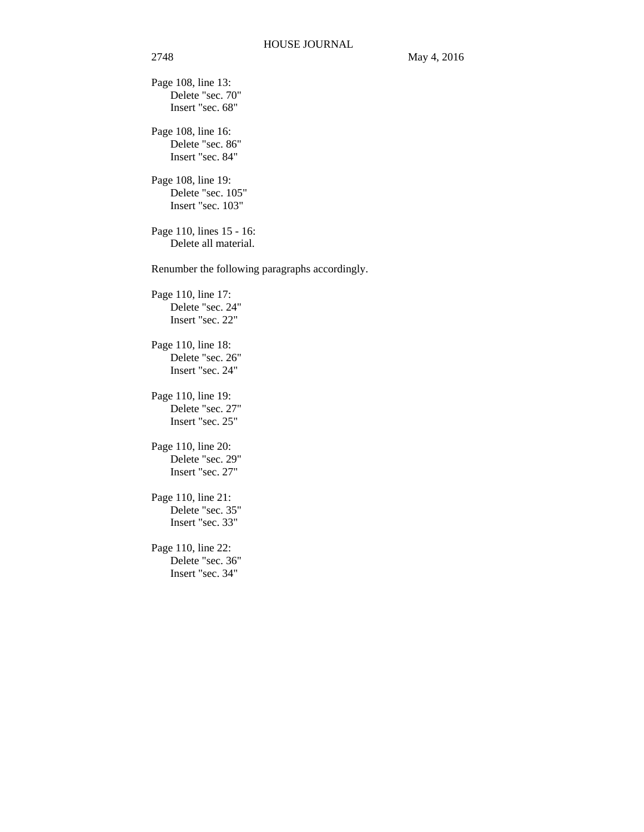Page 108, line 13: Delete "sec. 70" Insert "sec. 68"

Page 108, line 16: Delete "sec. 86" Insert "sec. 84"

Page 108, line 19: Delete "sec. 105" Insert "sec. 103"

Page 110, lines 15 - 16: Delete all material.

Renumber the following paragraphs accordingly.

Page 110, line 17: Delete "sec. 24" Insert "sec. 22"

Page 110, line 18: Delete "sec. 26" Insert "sec. 24"

Page 110, line 19: Delete "sec. 27" Insert "sec. 25"

Page 110, line 20: Delete "sec. 29" Insert "sec. 27"

Page 110, line 21: Delete "sec. 35" Insert "sec. 33"

Page 110, line 22: Delete "sec. 36" Insert "sec. 34"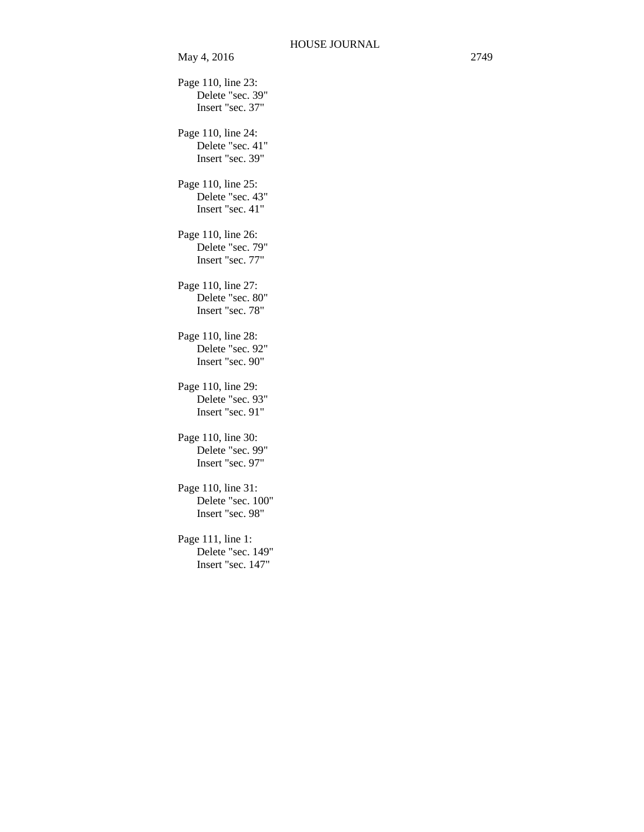May 4, 2016 2749 Page 110, line 23: Delete "sec. 39" Insert "sec. 37" Page 110, line 24: Delete "sec. 41" Insert "sec. 39" Page 110, line 25: Delete "sec. 43" Insert "sec. 41" Page 110, line 26: Delete "sec. 79" Insert "sec. 77" Page 110, line 27: Delete "sec. 80" Insert "sec. 78" Page 110, line 28: Delete "sec. 92" Insert "sec. 90" Page 110, line 29: Delete "sec. 93" Insert "sec. 91" Page 110, line 30: Delete "sec. 99" Insert "sec. 97" Page 110, line 31: Delete "sec. 100" Insert "sec. 98" Page 111, line 1: Delete "sec. 149" Insert "sec. 147"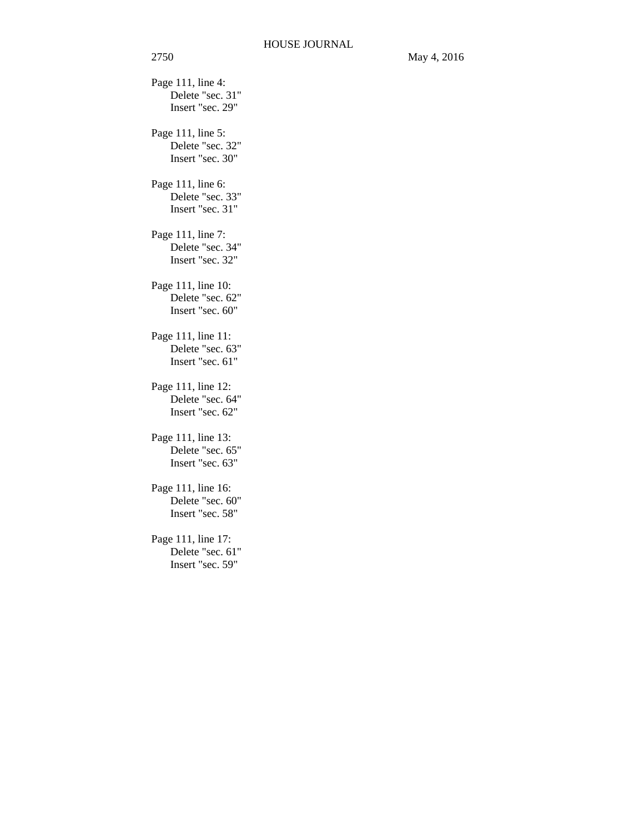Page 111, line 4: Delete "sec. 31" Insert "sec. 29" Page 111, line 5: Delete "sec. 32" Insert "sec. 30" Page 111, line 6: Delete "sec. 33" Insert "sec. 31" Page 111, line 7: Delete "sec. 34" Insert "sec. 32" Page 111, line 10: Delete "sec. 62" Insert "sec. 60" Page 111, line 11: Delete "sec. 63" Insert "sec. 61" Page 111, line 12: Delete "sec. 64" Insert "sec. 62" Page 111, line 13: Delete "sec. 65" Insert "sec. 63" Page 111, line 16: Delete "sec. 60" Insert "sec. 58" Page 111, line 17: Delete "sec. 61" Insert "sec. 59"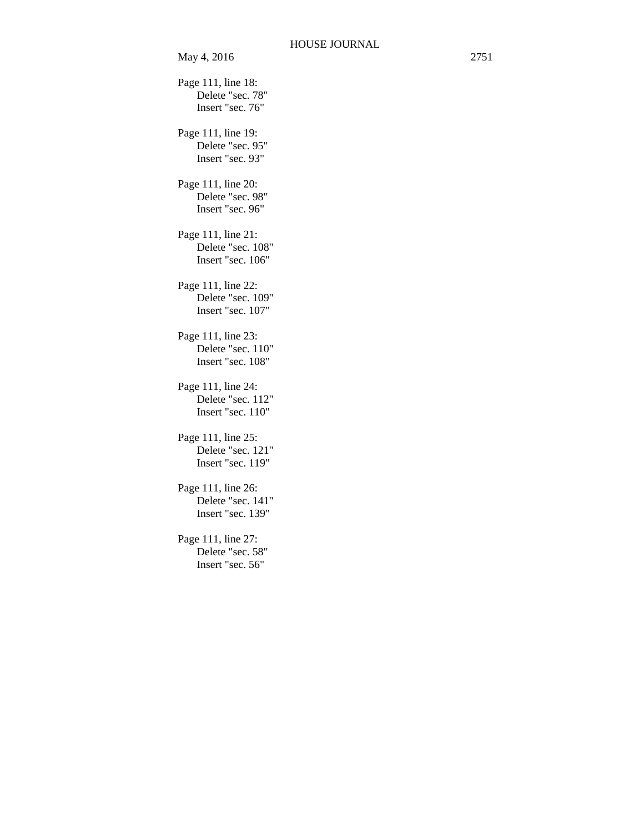May 4, 2016 2751 Page 111, line 18: Delete "sec. 78" Insert "sec. 76" Page 111, line 19: Delete "sec. 95" Insert "sec. 93" Page 111, line 20: Delete "sec. 98" Insert "sec. 96" Page 111, line 21: Delete "sec. 108" Insert "sec. 106" Page 111, line 22: Delete "sec. 109" Insert "sec. 107" Page 111, line 23: Delete "sec. 110" Insert "sec. 108" Page 111, line 24: Delete "sec. 112" Insert "sec. 110" Page 111, line 25: Delete "sec. 121" Insert "sec. 119" Page 111, line 26: Delete "sec. 141" Insert "sec. 139" Page 111, line 27: Delete "sec. 58" Insert "sec. 56"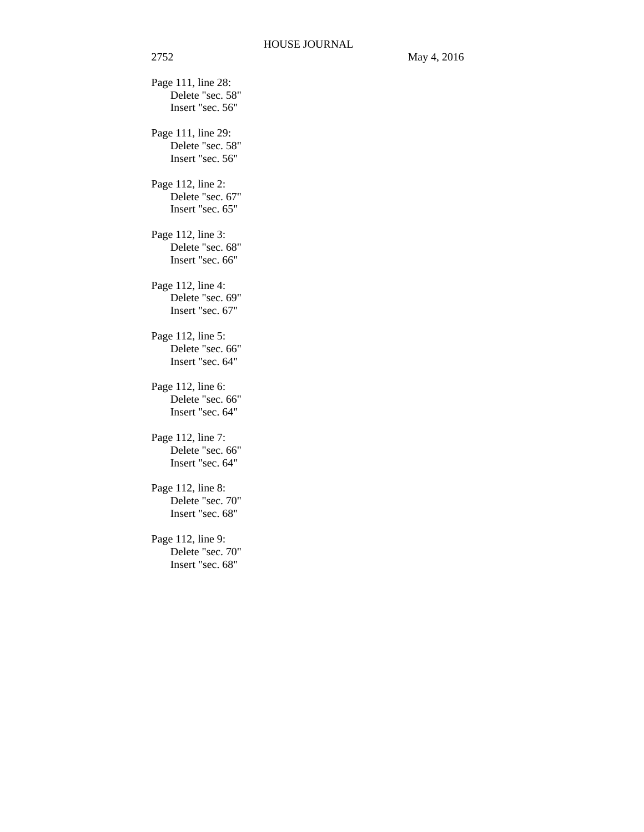Page 111, line 28: Delete "sec. 58" Insert "sec. 56" Page 111, line 29: Delete "sec. 58" Insert "sec. 56" Page 112, line 2: Delete "sec. 67" Insert "sec. 65" Page 112, line 3: Delete "sec. 68" Insert "sec. 66" Page 112, line 4: Delete "sec. 69" Insert "sec. 67" Page 112, line 5: Delete "sec. 66" Insert "sec. 64" Page 112, line 6: Delete "sec. 66" Insert "sec. 64" Page 112, line 7: Delete "sec. 66" Insert "sec. 64" Page 112, line 8: Delete "sec. 70" Insert "sec. 68" Page 112, line 9: Delete "sec. 70" Insert "sec. 68"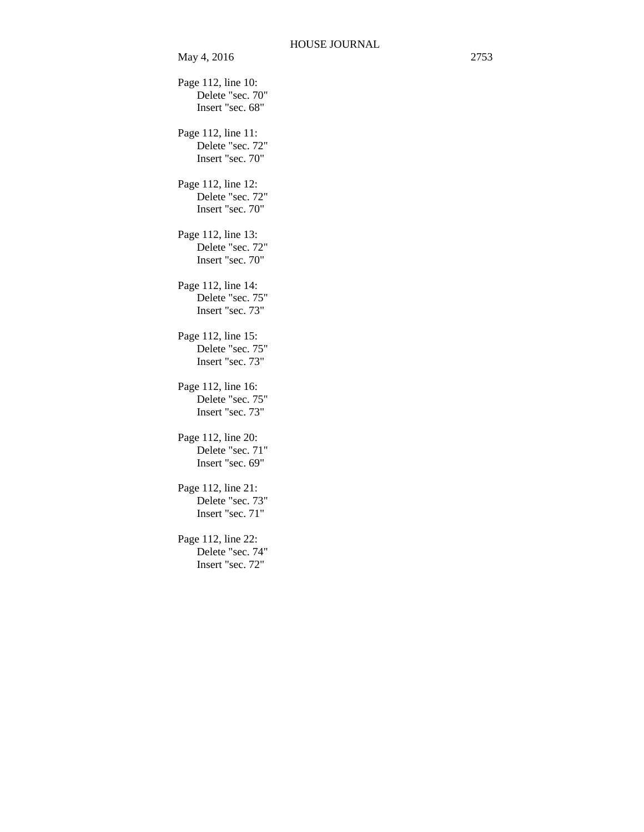Page 112, line 10: Delete "sec. 70" Insert "sec. 68" Page 112, line 11: Delete "sec. 72" Insert "sec. 70" Page 112, line 12: Delete "sec. 72" Insert "sec. 70" Page 112, line 13: Delete "sec. 72" Insert "sec. 70" Page 112, line 14: Delete "sec. 75" Insert "sec. 73" Page 112, line 15: Delete "sec. 75" Insert "sec. 73" Page 112, line 16: Delete "sec. 75" Insert "sec. 73" Page 112, line 20: Delete "sec. 71" Insert "sec. 69" Page 112, line 21: Delete "sec. 73" Insert "sec. 71" Page 112, line 22: Delete "sec. 74" Insert "sec. 72"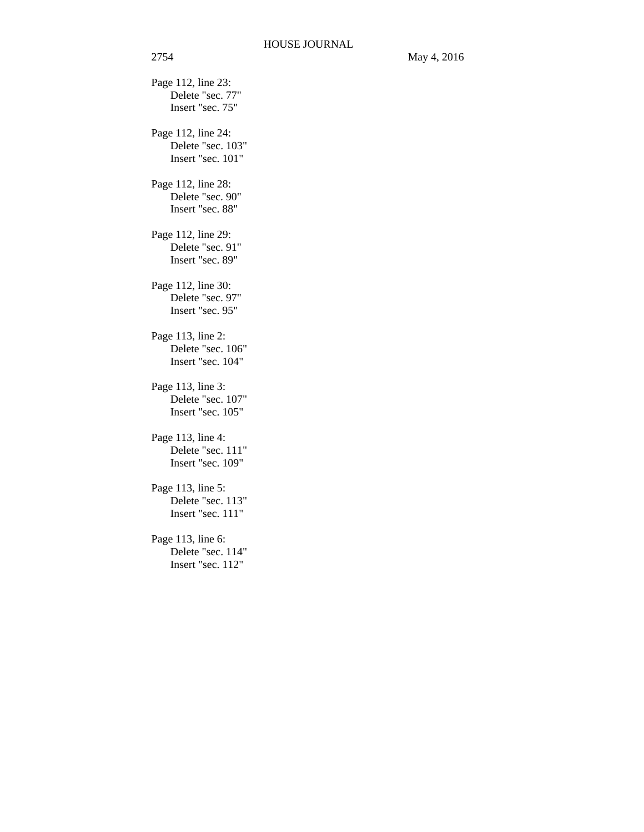Page 112, line 23: Delete "sec. 77" Insert "sec. 75" Page 112, line 24: Delete "sec. 103" Insert "sec. 101" Page 112, line 28: Delete "sec. 90" Insert "sec. 88" Page 112, line 29: Delete "sec. 91" Insert "sec. 89" Page 112, line 30: Delete "sec. 97" Insert "sec. 95" Page 113, line 2: Delete "sec. 106" Insert "sec. 104" Page 113, line 3: Delete "sec. 107" Insert "sec. 105" Page 113, line 4: Delete "sec. 111" Insert "sec. 109" Page 113, line 5: Delete "sec. 113" Insert "sec. 111" Page 113, line 6: Delete "sec. 114" Insert "sec. 112"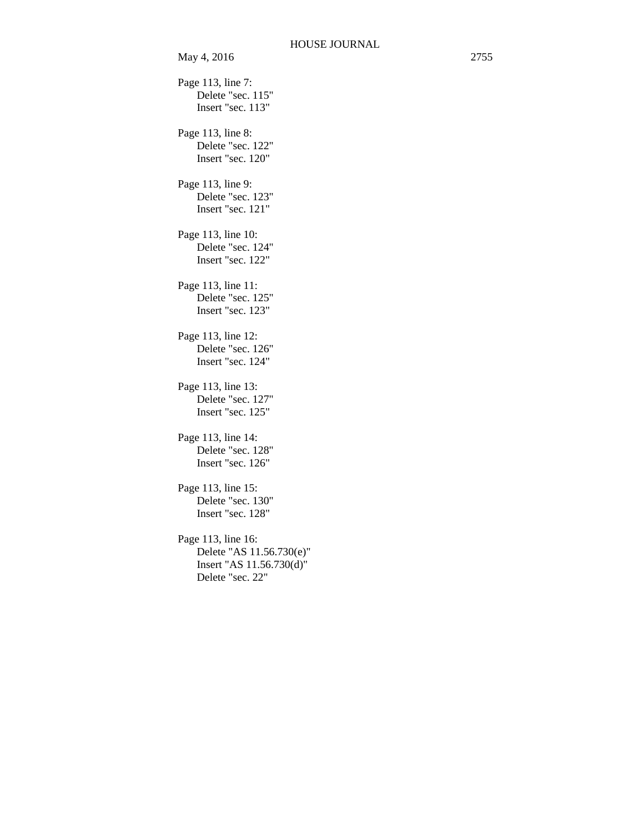Page 113, line 7: Delete "sec. 115" Insert "sec. 113" Page 113, line 8: Delete "sec. 122" Insert "sec. 120" Page 113, line 9: Delete "sec. 123" Insert "sec. 121" Page 113, line 10: Delete "sec. 124" Insert "sec. 122" Page 113, line 11: Delete "sec. 125" Insert "sec. 123" Page 113, line 12: Delete "sec. 126" Insert "sec. 124" Page 113, line 13: Delete "sec. 127" Insert "sec. 125" Page 113, line 14: Delete "sec. 128" Insert "sec. 126" Page 113, line 15: Delete "sec. 130" Insert "sec. 128" Page 113, line 16: Delete "AS 11.56.730(e)" Insert "AS 11.56.730(d)" Delete "sec. 22"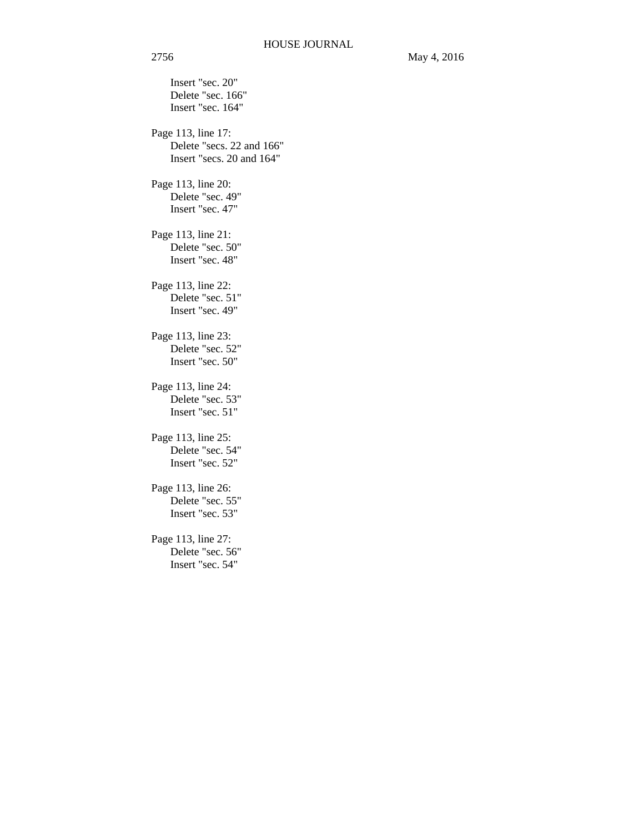Delete "sec. 166" Insert "sec. 164" Page 113, line 17: Delete "secs. 22 and 166" Insert "secs. 20 and 164" Page 113, line 20: Delete "sec. 49" Insert "sec. 47" Page 113, line 21: Delete "sec. 50" Insert "sec. 48" Page 113, line 22: Delete "sec. 51" Insert "sec. 49" Page 113, line 23: Delete "sec. 52" Insert "sec. 50" Page 113, line 24: Delete "sec. 53" Insert "sec. 51" Page 113, line 25: Delete "sec. 54" Insert "sec. 52" Page 113, line 26: Delete "sec. 55" Insert "sec. 53" Page 113, line 27: Delete "sec. 56" Insert "sec. 54"

Insert "sec. 20"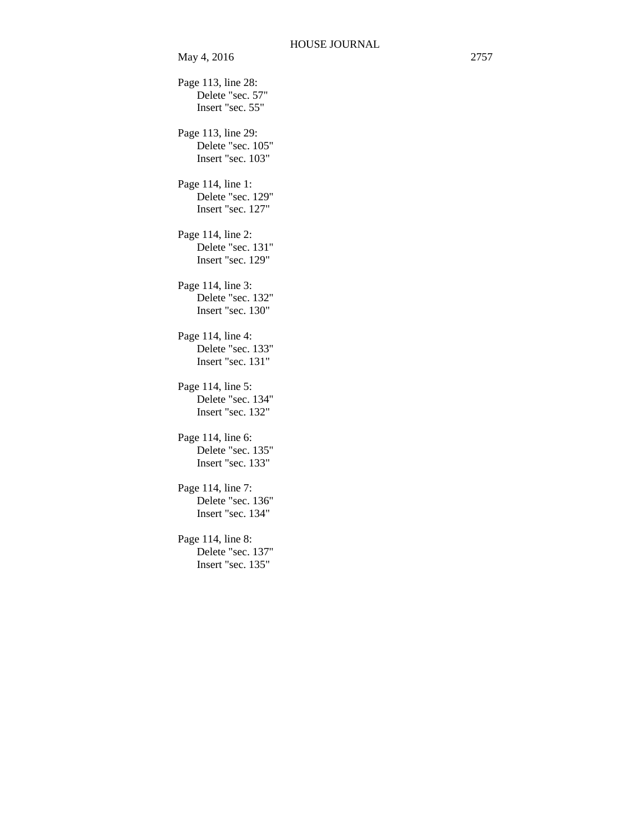Page 113, line 28: Delete "sec. 57" Insert "sec. 55" Page 113, line 29: Delete "sec. 105" Insert "sec. 103" Page 114, line 1: Delete "sec. 129" Insert "sec. 127" Page 114, line 2: Delete "sec. 131" Insert "sec. 129" Page 114, line 3: Delete "sec. 132" Insert "sec. 130" Page 114, line 4: Delete "sec. 133" Insert "sec. 131" Page 114, line 5: Delete "sec. 134" Insert "sec. 132" Page 114, line 6: Delete "sec. 135" Insert "sec. 133" Page 114, line 7: Delete "sec. 136" Insert "sec. 134" Page 114, line 8: Delete "sec. 137" Insert "sec. 135"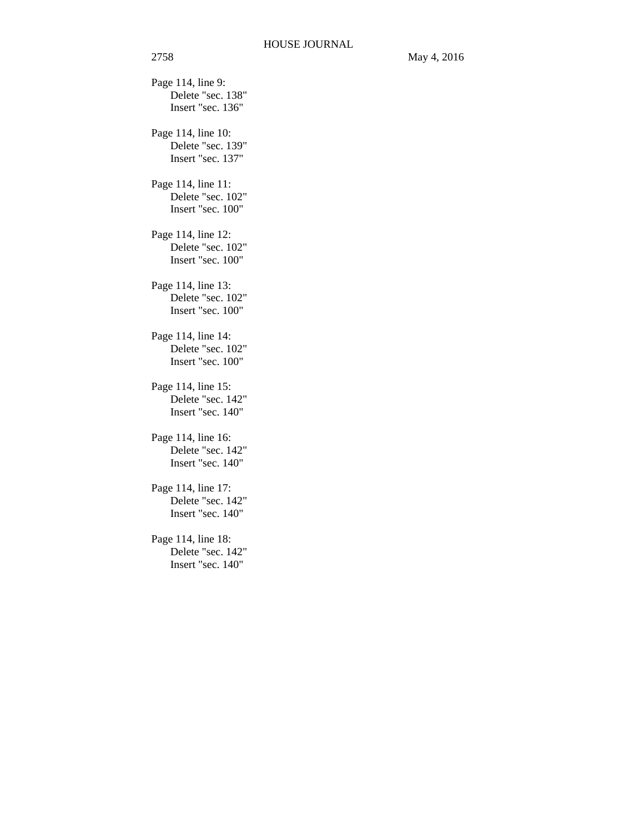Page 114, line 9: Delete "sec. 138" Insert "sec. 136"

Page 114, line 10: Delete "sec. 139" Insert "sec. 137"

Page 114, line 11: Delete "sec. 102" Insert "sec. 100"

Page 114, line 12: Delete "sec. 102" Insert "sec. 100"

Page 114, line 13: Delete "sec. 102" Insert "sec. 100"

Page 114, line 14: Delete "sec. 102" Insert "sec. 100"

Page 114, line 15: Delete "sec. 142" Insert "sec. 140"

Page 114, line 16: Delete "sec. 142" Insert "sec. 140"

Page 114, line 17: Delete "sec. 142" Insert "sec. 140"

Page 114, line 18: Delete "sec. 142" Insert "sec. 140"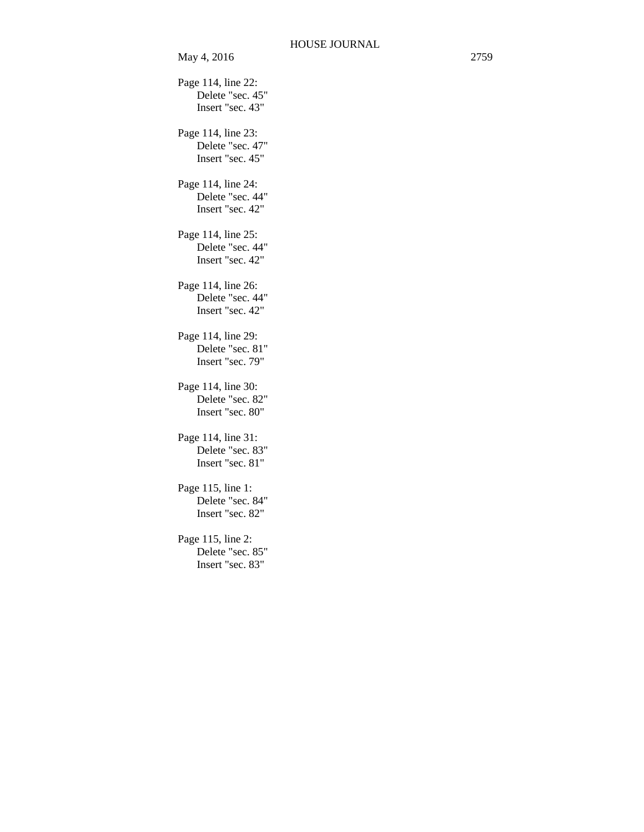```
Page 114, line 22: 
    Delete "sec. 45" 
    Insert "sec. 43" 
Page 114, line 23: 
    Delete "sec. 47" 
    Insert "sec. 45" 
Page 114, line 24: 
    Delete "sec. 44" 
    Insert "sec. 42" 
Page 114, line 25: 
    Delete "sec. 44" 
    Insert "sec. 42" 
Page 114, line 26: 
    Delete "sec. 44" 
    Insert "sec. 42" 
Page 114, line 29: 
    Delete "sec. 81" 
    Insert "sec. 79" 
Page 114, line 30: 
    Delete "sec. 82" 
    Insert "sec. 80" 
Page 114, line 31: 
    Delete "sec. 83" 
    Insert "sec. 81" 
Page 115, line 1: 
    Delete "sec. 84" 
    Insert "sec. 82" 
Page 115, line 2: 
    Delete "sec. 85" 
    Insert "sec. 83"
```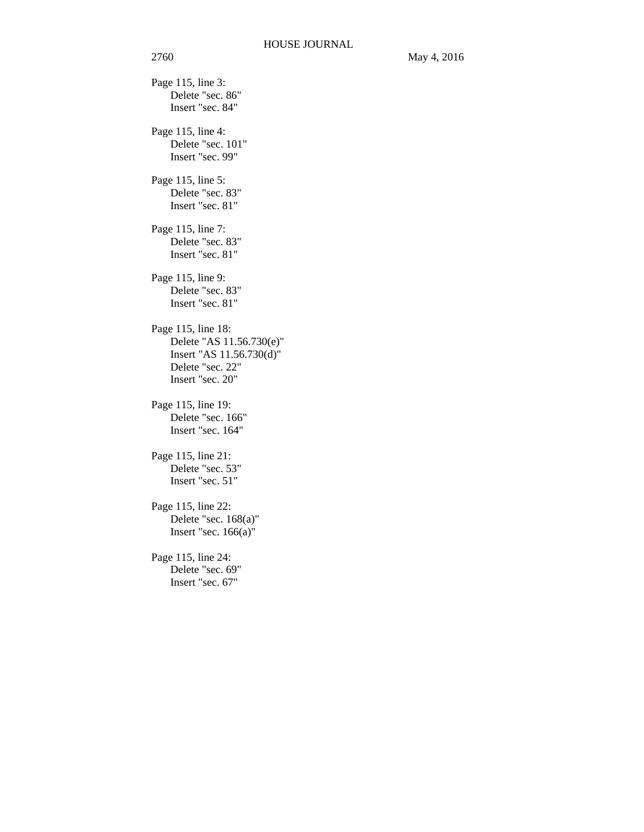Page 115, line 3: Delete "sec. 86" Insert "sec. 84" Page 115, line 4: Delete "sec. 101" Insert "sec. 99" Page 115, line 5: Delete "sec. 83" Insert "sec. 81" Page 115, line 7: Delete "sec. 83" Insert "sec. 81" Page 115, line 9: Delete "sec. 83" Insert "sec. 81" Page 115, line 18: Delete "AS 11.56.730(e)" Insert "AS 11.56.730(d)" Delete "sec. 22" Insert "sec. 20" Page 115, line 19: Delete "sec. 166" Insert "sec. 164" Page 115, line 21: Delete "sec. 53" Insert "sec. 51" Page 115, line 22: Delete "sec. 168(a)" Insert "sec. 166(a)" Page 115, line 24: Delete "sec. 69" Insert "sec. 67"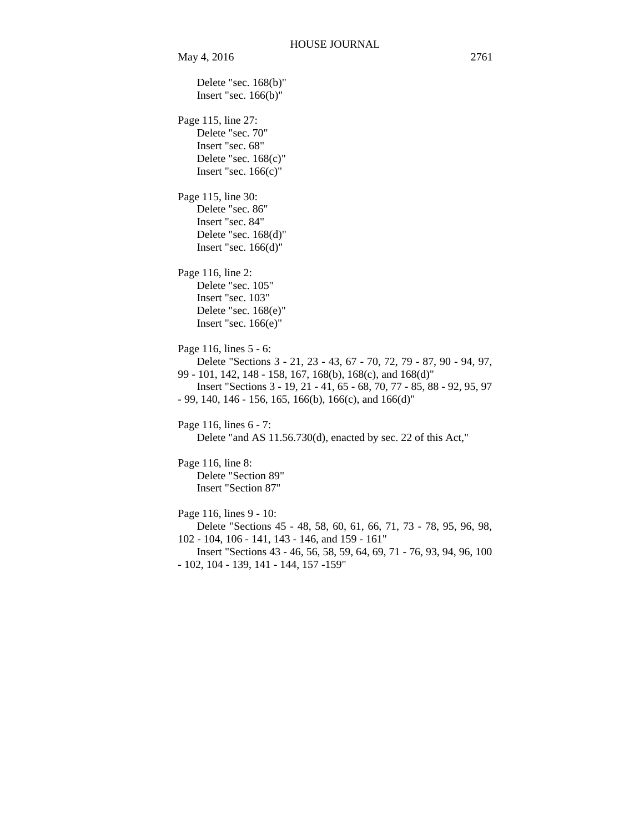Delete "sec. 168(b)" Insert "sec. 166(b)" Page 115, line 27: Delete "sec. 70" Insert "sec. 68" Delete "sec. 168(c)" Insert "sec. 166(c)" Page 115, line 30: Delete "sec. 86" Insert "sec. 84" Delete "sec. 168(d)" Insert "sec. 166(d)" Page 116, line 2: Delete "sec. 105" Insert "sec. 103" Delete "sec. 168(e)" Insert "sec. 166(e)" Page 116, lines 5 - 6: Delete "Sections 3 - 21, 23 - 43, 67 - 70, 72, 79 - 87, 90 - 94, 97, 99 - 101, 142, 148 - 158, 167, 168(b), 168(c), and 168(d)" Insert "Sections 3 - 19, 21 - 41, 65 - 68, 70, 77 - 85, 88 - 92, 95, 97 - 99, 140, 146 - 156, 165, 166(b), 166(c), and 166(d)" Page 116, lines 6 - 7: Delete "and AS 11.56.730(d), enacted by sec. 22 of this Act," Page 116, line 8: Delete "Section 89" Insert "Section 87" Page 116, lines 9 - 10: Delete "Sections 45 - 48, 58, 60, 61, 66, 71, 73 - 78, 95, 96, 98, 102 - 104, 106 - 141, 143 - 146, and 159 - 161" Insert "Sections 43 - 46, 56, 58, 59, 64, 69, 71 - 76, 93, 94, 96, 100

```
- 102, 104 - 139, 141 - 144, 157 -159"
```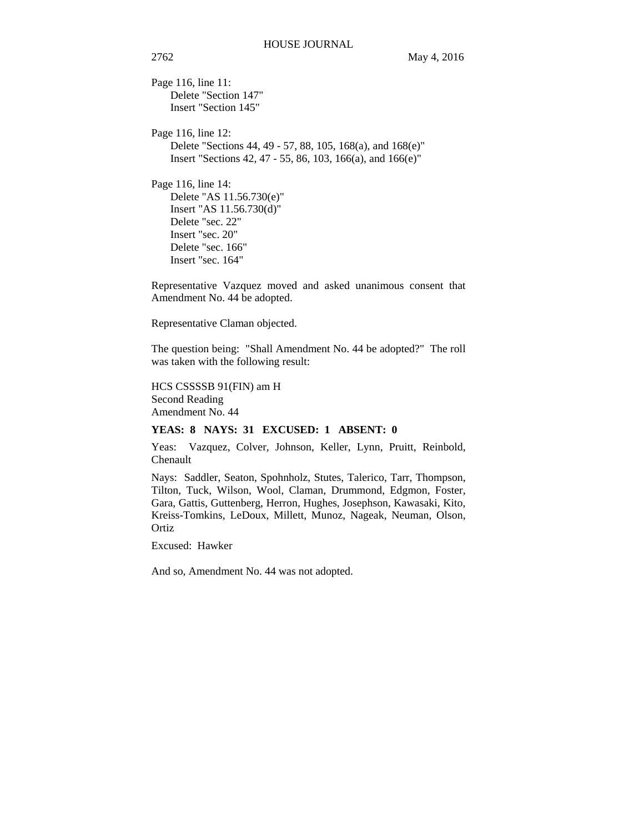Page 116, line 11: Delete "Section 147" Insert "Section 145"

Page 116, line 12: Delete "Sections 44, 49 - 57, 88, 105, 168(a), and 168(e)" Insert "Sections 42, 47 - 55, 86, 103, 166(a), and 166(e)"

Page 116, line 14: Delete "AS 11.56.730(e)" Insert "AS 11.56.730(d)" Delete "sec. 22" Insert "sec. 20" Delete "sec. 166" Insert "sec. 164"

Representative Vazquez moved and asked unanimous consent that Amendment No. 44 be adopted.

Representative Claman objected.

The question being: "Shall Amendment No. 44 be adopted?" The roll was taken with the following result:

HCS CSSSSB 91(FIN) am H Second Reading Amendment No. 44

#### **YEAS: 8 NAYS: 31 EXCUSED: 1 ABSENT: 0**

Yeas: Vazquez, Colver, Johnson, Keller, Lynn, Pruitt, Reinbold, Chenault

Nays: Saddler, Seaton, Spohnholz, Stutes, Talerico, Tarr, Thompson, Tilton, Tuck, Wilson, Wool, Claman, Drummond, Edgmon, Foster, Gara, Gattis, Guttenberg, Herron, Hughes, Josephson, Kawasaki, Kito, Kreiss-Tomkins, LeDoux, Millett, Munoz, Nageak, Neuman, Olson, **Ortiz** 

Excused: Hawker

And so, Amendment No. 44 was not adopted.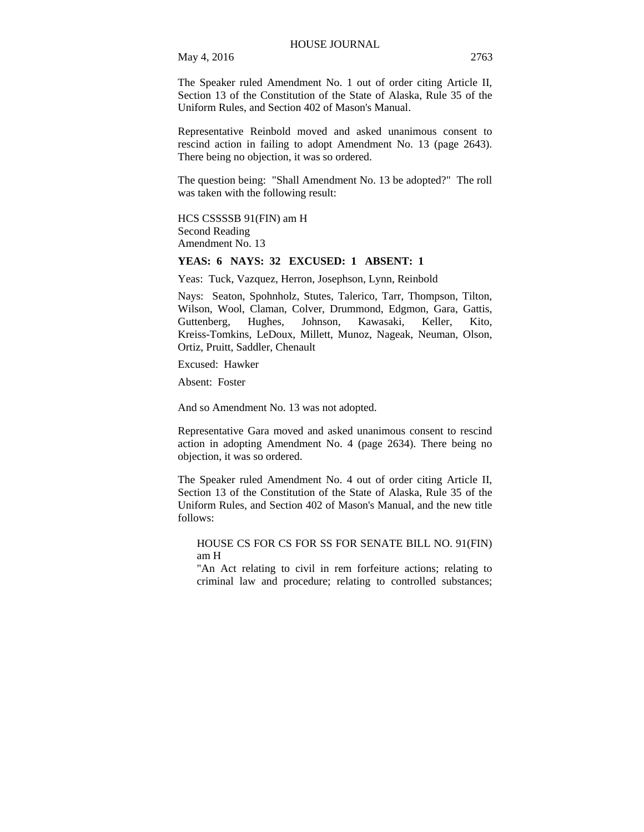May 4, 2016 2763

The Speaker ruled Amendment No. 1 out of order citing Article II, Section 13 of the Constitution of the State of Alaska, Rule 35 of the Uniform Rules, and Section 402 of Mason's Manual.

Representative Reinbold moved and asked unanimous consent to rescind action in failing to adopt Amendment No. 13 (page 2643). There being no objection, it was so ordered.

The question being: "Shall Amendment No. 13 be adopted?" The roll was taken with the following result:

HCS CSSSSB 91(FIN) am H Second Reading Amendment No. 13

### **YEAS: 6 NAYS: 32 EXCUSED: 1 ABSENT: 1**

Yeas: Tuck, Vazquez, Herron, Josephson, Lynn, Reinbold

Nays: Seaton, Spohnholz, Stutes, Talerico, Tarr, Thompson, Tilton, Wilson, Wool, Claman, Colver, Drummond, Edgmon, Gara, Gattis, Guttenberg, Hughes, Johnson, Kawasaki, Keller, Kito, Kreiss-Tomkins, LeDoux, Millett, Munoz, Nageak, Neuman, Olson, Ortiz, Pruitt, Saddler, Chenault

Excused: Hawker

Absent: Foster

And so Amendment No. 13 was not adopted.

Representative Gara moved and asked unanimous consent to rescind action in adopting Amendment No. 4 (page 2634). There being no objection, it was so ordered.

The Speaker ruled Amendment No. 4 out of order citing Article II, Section 13 of the Constitution of the State of Alaska, Rule 35 of the Uniform Rules, and Section 402 of Mason's Manual, and the new title follows:

HOUSE CS FOR CS FOR SS FOR SENATE BILL NO. 91(FIN) am H

"An Act relating to civil in rem forfeiture actions; relating to criminal law and procedure; relating to controlled substances;